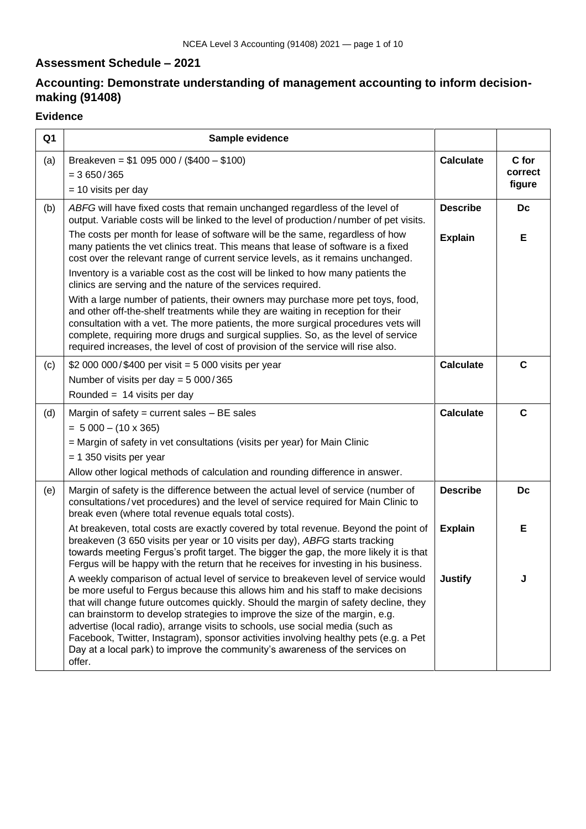# **Assessment Schedule – 2021**

# **Accounting: Demonstrate understanding of management accounting to inform decisionmaking (91408)**

## **Evidence**

| Q <sub>1</sub> | Sample evidence                                                                                                                                                                                                                                                                                                                                                                                                                                                                                                                                                                                                  |                  |                            |
|----------------|------------------------------------------------------------------------------------------------------------------------------------------------------------------------------------------------------------------------------------------------------------------------------------------------------------------------------------------------------------------------------------------------------------------------------------------------------------------------------------------------------------------------------------------------------------------------------------------------------------------|------------------|----------------------------|
| (a)            | Breakeven = $$1 095 000 / ($400 - $100)$<br>$= 3650/365$<br>$= 10$ visits per day                                                                                                                                                                                                                                                                                                                                                                                                                                                                                                                                | <b>Calculate</b> | C for<br>correct<br>figure |
| (b)            | ABFG will have fixed costs that remain unchanged regardless of the level of<br>output. Variable costs will be linked to the level of production/number of pet visits.                                                                                                                                                                                                                                                                                                                                                                                                                                            | <b>Describe</b>  | Dc                         |
|                | The costs per month for lease of software will be the same, regardless of how<br>many patients the vet clinics treat. This means that lease of software is a fixed<br>cost over the relevant range of current service levels, as it remains unchanged.                                                                                                                                                                                                                                                                                                                                                           | <b>Explain</b>   | Е                          |
|                | Inventory is a variable cost as the cost will be linked to how many patients the<br>clinics are serving and the nature of the services required.                                                                                                                                                                                                                                                                                                                                                                                                                                                                 |                  |                            |
|                | With a large number of patients, their owners may purchase more pet toys, food,<br>and other off-the-shelf treatments while they are waiting in reception for their<br>consultation with a vet. The more patients, the more surgical procedures vets will<br>complete, requiring more drugs and surgical supplies. So, as the level of service<br>required increases, the level of cost of provision of the service will rise also.                                                                                                                                                                              |                  |                            |
| (c)            | \$2 000 000/\$400 per visit = 5 000 visits per year<br>Number of visits per day = $5000/365$                                                                                                                                                                                                                                                                                                                                                                                                                                                                                                                     | <b>Calculate</b> | $\mathbf C$                |
|                | Rounded = $14$ visits per day                                                                                                                                                                                                                                                                                                                                                                                                                                                                                                                                                                                    |                  |                            |
| (d)            | Margin of safety = current sales $- BE$ sales                                                                                                                                                                                                                                                                                                                                                                                                                                                                                                                                                                    | <b>Calculate</b> | $\mathbf C$                |
|                | $= 5000 - (10 \times 365)$<br>= Margin of safety in vet consultations (visits per year) for Main Clinic                                                                                                                                                                                                                                                                                                                                                                                                                                                                                                          |                  |                            |
|                | $= 1$ 350 visits per year                                                                                                                                                                                                                                                                                                                                                                                                                                                                                                                                                                                        |                  |                            |
|                | Allow other logical methods of calculation and rounding difference in answer.                                                                                                                                                                                                                                                                                                                                                                                                                                                                                                                                    |                  |                            |
| (e)            | Margin of safety is the difference between the actual level of service (number of<br>consultations/vet procedures) and the level of service required for Main Clinic to<br>break even (where total revenue equals total costs).                                                                                                                                                                                                                                                                                                                                                                                  | <b>Describe</b>  | Dc                         |
|                | At breakeven, total costs are exactly covered by total revenue. Beyond the point of<br>breakeven (3 650 visits per year or 10 visits per day), ABFG starts tracking<br>towards meeting Fergus's profit target. The bigger the gap, the more likely it is that<br>Fergus will be happy with the return that he receives for investing in his business.                                                                                                                                                                                                                                                            | <b>Explain</b>   | Е                          |
|                | A weekly comparison of actual level of service to breakeven level of service would<br>be more useful to Fergus because this allows him and his staff to make decisions<br>that will change future outcomes quickly. Should the margin of safety decline, they<br>can brainstorm to develop strategies to improve the size of the margin, e.g.<br>advertise (local radio), arrange visits to schools, use social media (such as<br>Facebook, Twitter, Instagram), sponsor activities involving healthy pets (e.g. a Pet<br>Day at a local park) to improve the community's awareness of the services on<br>offer. | <b>Justify</b>   |                            |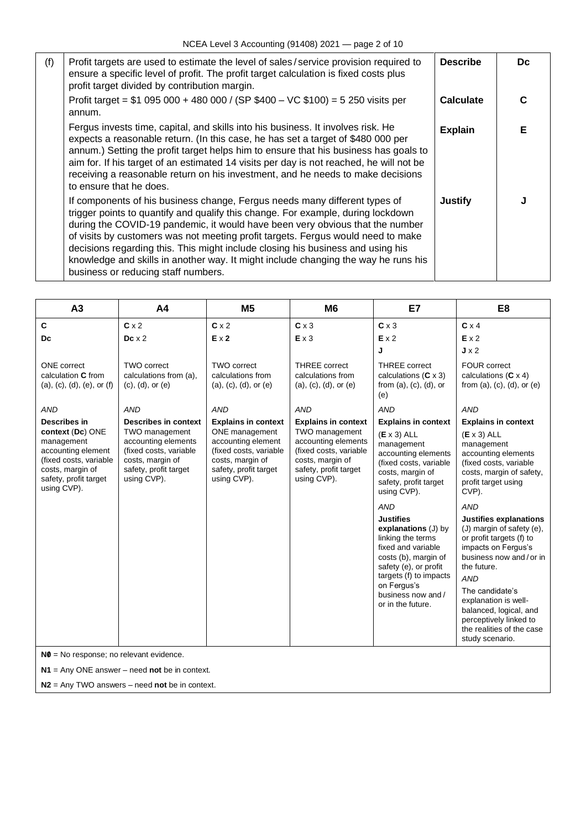| (f) | Profit targets are used to estimate the level of sales/service provision required to<br>ensure a specific level of profit. The profit target calculation is fixed costs plus<br>profit target divided by contribution margin.                                                                                                                                                                                                                                                                                                                       | <b>Describe</b> | Dc |
|-----|-----------------------------------------------------------------------------------------------------------------------------------------------------------------------------------------------------------------------------------------------------------------------------------------------------------------------------------------------------------------------------------------------------------------------------------------------------------------------------------------------------------------------------------------------------|-----------------|----|
|     | Profit target = $$1$ 095 000 + 480 000 / (SP $$400 - VC $100$ ) = 5 250 visits per<br>annum.                                                                                                                                                                                                                                                                                                                                                                                                                                                        | Calculate       | C  |
|     | Fergus invests time, capital, and skills into his business. It involves risk. He<br>expects a reasonable return. (In this case, he has set a target of \$480 000 per<br>annum.) Setting the profit target helps him to ensure that his business has goals to<br>aim for. If his target of an estimated 14 visits per day is not reached, he will not be<br>receiving a reasonable return on his investment, and he needs to make decisions<br>to ensure that he does.                                                                               | <b>Explain</b>  | Е  |
|     | If components of his business change, Fergus needs many different types of<br>trigger points to quantify and qualify this change. For example, during lockdown<br>during the COVID-19 pandemic, it would have been very obvious that the number<br>of visits by customers was not meeting profit targets. Fergus would need to make<br>decisions regarding this. This might include closing his business and using his<br>knowledge and skills in another way. It might include changing the way he runs his<br>business or reducing staff numbers. | <b>Justify</b>  |    |

| A <sub>3</sub>                                                                                                                             | A <sub>4</sub>                                                                                                              | M <sub>5</sub>                                                                                                             | M <sub>6</sub>                                                                                                              | E7                                                                                                                                                                                                                        | E <sub>8</sub>                                                                                                                                                                                                                                                                                                      |
|--------------------------------------------------------------------------------------------------------------------------------------------|-----------------------------------------------------------------------------------------------------------------------------|----------------------------------------------------------------------------------------------------------------------------|-----------------------------------------------------------------------------------------------------------------------------|---------------------------------------------------------------------------------------------------------------------------------------------------------------------------------------------------------------------------|---------------------------------------------------------------------------------------------------------------------------------------------------------------------------------------------------------------------------------------------------------------------------------------------------------------------|
| C                                                                                                                                          | $C \times 2$                                                                                                                | $C \times 2$                                                                                                               | $C \times 3$                                                                                                                | $C \times 3$                                                                                                                                                                                                              | $C \times 4$                                                                                                                                                                                                                                                                                                        |
| Dc                                                                                                                                         | $Dc \times 2$                                                                                                               | $E \times 2$                                                                                                               | Ex3                                                                                                                         | Ex2                                                                                                                                                                                                                       | Ex2                                                                                                                                                                                                                                                                                                                 |
|                                                                                                                                            |                                                                                                                             |                                                                                                                            |                                                                                                                             | J                                                                                                                                                                                                                         | $J \times 2$                                                                                                                                                                                                                                                                                                        |
| <b>ONE</b> correct<br>calculation C from<br>(a), (c), (d), (e), or (f)                                                                     | <b>TWO correct</b><br>calculations from (a),<br>$(c)$ , $(d)$ , or $(e)$                                                    | <b>TWO correct</b><br>calculations from<br>$(a), (c), (d),$ or $(e)$                                                       | <b>THREE</b> correct<br>calculations from<br>$(a), (c), (d),$ or $(e)$                                                      | <b>THREE</b> correct<br>calculations $(C \times 3)$<br>from $(a)$ , $(c)$ , $(d)$ , or<br>(e)                                                                                                                             | <b>FOUR correct</b><br>calculations $(C \times 4)$<br>from $(a)$ , $(c)$ , $(d)$ , or $(e)$                                                                                                                                                                                                                         |
| <b>AND</b>                                                                                                                                 | <b>AND</b>                                                                                                                  | <b>AND</b>                                                                                                                 | <b>AND</b>                                                                                                                  | <b>AND</b>                                                                                                                                                                                                                | <b>AND</b>                                                                                                                                                                                                                                                                                                          |
| Describes in                                                                                                                               | <b>Describes in context</b>                                                                                                 | <b>Explains in context</b>                                                                                                 | <b>Explains in context</b>                                                                                                  | <b>Explains in context</b>                                                                                                                                                                                                | <b>Explains in context</b>                                                                                                                                                                                                                                                                                          |
| context (Dc) ONE<br>management<br>accounting element<br>(fixed costs, variable<br>costs, margin of<br>safety, profit target<br>using CVP). | TWO management<br>accounting elements<br>(fixed costs, variable<br>costs, margin of<br>safety, profit target<br>using CVP). | ONE management<br>accounting element<br>(fixed costs, variable<br>costs, margin of<br>safety, profit target<br>using CVP). | TWO management<br>accounting elements<br>(fixed costs, variable<br>costs, margin of<br>safety, profit target<br>using CVP). | $(E \times 3)$ ALL<br>management<br>accounting elements<br>(fixed costs, variable<br>costs, margin of<br>safety, profit target<br>using CVP).                                                                             | $(E \times 3)$ ALL<br>management<br>accounting elements<br>(fixed costs, variable<br>costs, margin of safety,<br>profit target using<br>CVP).                                                                                                                                                                       |
|                                                                                                                                            |                                                                                                                             |                                                                                                                            |                                                                                                                             | <b>AND</b>                                                                                                                                                                                                                | <b>AND</b>                                                                                                                                                                                                                                                                                                          |
|                                                                                                                                            |                                                                                                                             |                                                                                                                            |                                                                                                                             | <b>Justifies</b><br>explanations $(J)$ by<br>linking the terms<br>fixed and variable<br>costs (b), margin of<br>safety (e), or profit<br>targets (f) to impacts<br>on Fergus's<br>business now and /<br>or in the future. | <b>Justifies explanations</b><br>(J) margin of safety (e),<br>or profit targets (f) to<br>impacts on Fergus's<br>business now and/or in<br>the future.<br><b>AND</b><br>The candidate's<br>explanation is well-<br>balanced, logical, and<br>perceptively linked to<br>the realities of the case<br>study scenario. |

**N1** = Any ONE answer – need **not** be in context.

**N2** = Any TWO answers – need **not** be in context.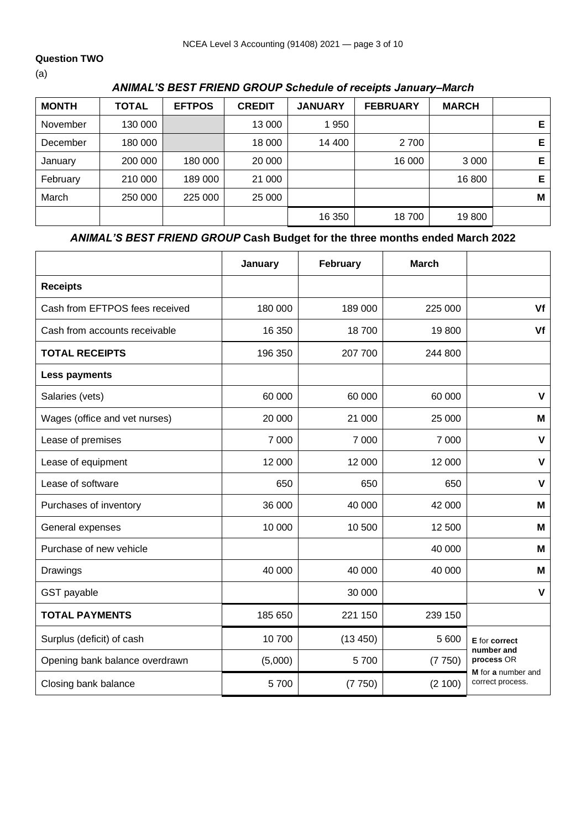### **Question TWO**

(a)

## *ANIMAL'S BEST FRIEND GROUP Schedule of receipts January–March*

| <b>MONTH</b> | <b>TOTAL</b> | <b>EFTPOS</b> | <b>CREDIT</b> | <b>JANUARY</b> | <b>FEBRUARY</b> | <b>MARCH</b> |    |
|--------------|--------------|---------------|---------------|----------------|-----------------|--------------|----|
| November     | 130 000      |               | 13 000        | 1 950          |                 |              | E. |
| December     | 180 000      |               | 18 000        | 14 400         | 2 700           |              | Е  |
| January      | 200 000      | 180 000       | 20 000        |                | 16 000          | 3 0 0 0      | Е  |
| February     | 210 000      | 189 000       | 21 000        |                |                 | 16 800       | Е  |
| March        | 250 000      | 225 000       | 25 000        |                |                 |              | Μ  |
|              |              |               |               | 16 350         | 18700           | 19800        |    |

# *ANIMAL'S BEST FRIEND GROUP* **Cash Budget for the three months ended March 2022**

|                                | January | February | <b>March</b> |                                        |
|--------------------------------|---------|----------|--------------|----------------------------------------|
| <b>Receipts</b>                |         |          |              |                                        |
| Cash from EFTPOS fees received | 180 000 | 189 000  | 225 000      | Vf                                     |
| Cash from accounts receivable  | 16 350  | 18700    | 19800        | Vf                                     |
| <b>TOTAL RECEIPTS</b>          | 196 350 | 207 700  | 244 800      |                                        |
| <b>Less payments</b>           |         |          |              |                                        |
| Salaries (vets)                | 60 000  | 60 000   | 60 000       | $\mathsf{V}$                           |
| Wages (office and vet nurses)  | 20 000  | 21 000   | 25 000       | M                                      |
| Lease of premises              | 7 0 0 0 | 7 000    | 7 0 0 0      | $\pmb{\mathsf{V}}$                     |
| Lease of equipment             | 12 000  | 12 000   | 12 000       | $\mathsf{V}$                           |
| Lease of software              | 650     | 650      | 650          | $\mathsf{V}$                           |
| Purchases of inventory         | 36 000  | 40 000   | 42 000       | M                                      |
| General expenses               | 10 000  | 10 500   | 12 500       | M                                      |
| Purchase of new vehicle        |         |          | 40 000       | M                                      |
| Drawings                       | 40 000  | 40 000   | 40 000       | M                                      |
| GST payable                    |         | 30 000   |              | $\mathsf{V}$                           |
| <b>TOTAL PAYMENTS</b>          | 185 650 | 221 150  | 239 150      |                                        |
| Surplus (deficit) of cash      | 10700   | (13 450) | 5 600        | E for correct                          |
| Opening bank balance overdrawn | (5,000) | 5700     | (7750)       | number and<br>process OR               |
| Closing bank balance           | 5700    | (7750)   | (2 100)      | M for a number and<br>correct process. |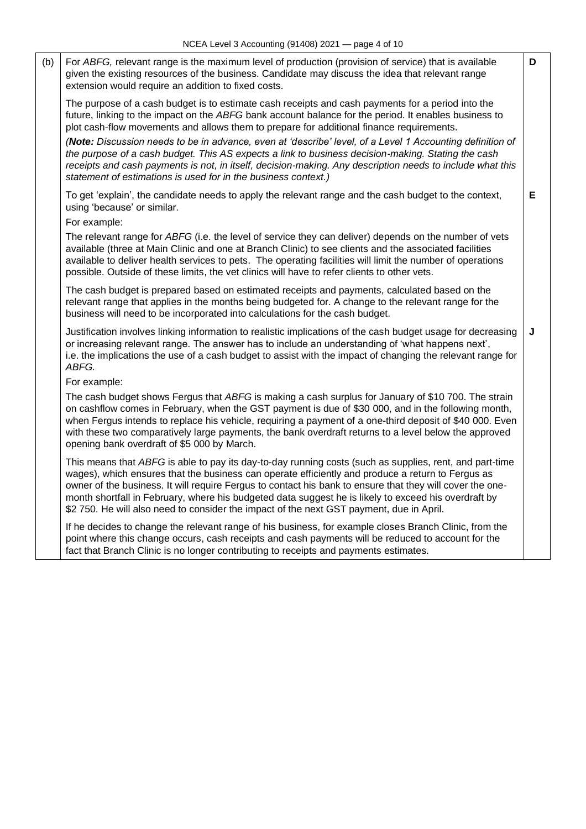|     | $1100F$ , $120F$ or $0.1000G$ initing $101F$ 1007 $20E$ in                                                                                                                                                                                                                                                                                                                                                                                                                                                                    |   |
|-----|-------------------------------------------------------------------------------------------------------------------------------------------------------------------------------------------------------------------------------------------------------------------------------------------------------------------------------------------------------------------------------------------------------------------------------------------------------------------------------------------------------------------------------|---|
| (b) | For ABFG, relevant range is the maximum level of production (provision of service) that is available<br>given the existing resources of the business. Candidate may discuss the idea that relevant range<br>extension would require an addition to fixed costs.                                                                                                                                                                                                                                                               | D |
|     | The purpose of a cash budget is to estimate cash receipts and cash payments for a period into the<br>future, linking to the impact on the ABFG bank account balance for the period. It enables business to<br>plot cash-flow movements and allows them to prepare for additional finance requirements.                                                                                                                                                                                                                        |   |
|     | (Note: Discussion needs to be in advance, even at 'describe' level, of a Level 1 Accounting definition of<br>the purpose of a cash budget. This AS expects a link to business decision-making. Stating the cash<br>receipts and cash payments is not, in itself, decision-making. Any description needs to include what this<br>statement of estimations is used for in the business context.)                                                                                                                                |   |
|     | To get 'explain', the candidate needs to apply the relevant range and the cash budget to the context,<br>using 'because' or similar.<br>For example:                                                                                                                                                                                                                                                                                                                                                                          | Е |
|     | The relevant range for ABFG (i.e. the level of service they can deliver) depends on the number of vets<br>available (three at Main Clinic and one at Branch Clinic) to see clients and the associated facilities<br>available to deliver health services to pets. The operating facilities will limit the number of operations<br>possible. Outside of these limits, the vet clinics will have to refer clients to other vets.                                                                                                |   |
|     | The cash budget is prepared based on estimated receipts and payments, calculated based on the<br>relevant range that applies in the months being budgeted for. A change to the relevant range for the<br>business will need to be incorporated into calculations for the cash budget.                                                                                                                                                                                                                                         |   |
|     | Justification involves linking information to realistic implications of the cash budget usage for decreasing<br>or increasing relevant range. The answer has to include an understanding of 'what happens next',<br>i.e. the implications the use of a cash budget to assist with the impact of changing the relevant range for<br>ABFG.                                                                                                                                                                                      | J |
|     | For example:                                                                                                                                                                                                                                                                                                                                                                                                                                                                                                                  |   |
|     | The cash budget shows Fergus that ABFG is making a cash surplus for January of \$10 700. The strain<br>on cashflow comes in February, when the GST payment is due of \$30 000, and in the following month,<br>when Fergus intends to replace his vehicle, requiring a payment of a one-third deposit of \$40 000. Even<br>with these two comparatively large payments, the bank overdraft returns to a level below the approved<br>opening bank overdraft of \$5 000 by March.                                                |   |
|     | This means that ABFG is able to pay its day-to-day running costs (such as supplies, rent, and part-time<br>wages), which ensures that the business can operate efficiently and produce a return to Fergus as<br>owner of the business. It will require Fergus to contact his bank to ensure that they will cover the one-<br>month shortfall in February, where his budgeted data suggest he is likely to exceed his overdraft by<br>\$2 750. He will also need to consider the impact of the next GST payment, due in April. |   |
|     | If he decides to change the relevant range of his business, for example closes Branch Clinic, from the<br>point where this change occurs, cash receipts and cash payments will be reduced to account for the<br>fact that Branch Clinic is no longer contributing to receipts and payments estimates.                                                                                                                                                                                                                         |   |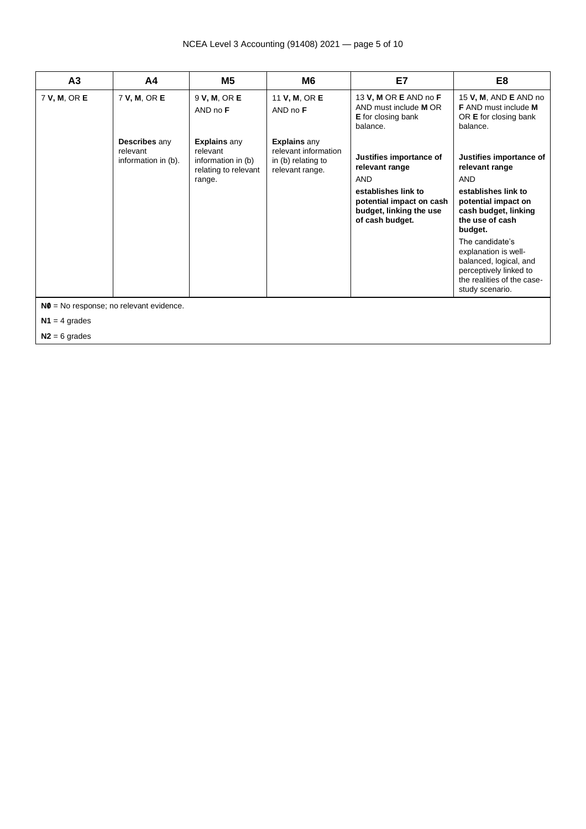### NCEA Level 3 Accounting (91408) 2021 — page 5 of 10

| A <sub>3</sub> | A4                                               | M <sub>5</sub>                                                                          | M <sub>6</sub>                                                                       | E7                                                                                                                                                       | E8                                                                                                                                                                                                                                                                                                          |
|----------------|--------------------------------------------------|-----------------------------------------------------------------------------------------|--------------------------------------------------------------------------------------|----------------------------------------------------------------------------------------------------------------------------------------------------------|-------------------------------------------------------------------------------------------------------------------------------------------------------------------------------------------------------------------------------------------------------------------------------------------------------------|
| 7 V, M, OR E   | 7 V, M, OR E                                     | 9 V, M, OR E<br>AND no F                                                                | 11 V, M, OR E<br>$AND$ no $F$                                                        | 13 V, M OR E AND no F<br>AND must include <b>M</b> OR<br><b>E</b> for closing bank<br>balance.                                                           | 15 V, M, AND E AND no<br><b>F</b> AND must include <b>M</b><br>OR <b>E</b> for closing bank<br>balance.                                                                                                                                                                                                     |
|                | Describes any<br>relevant<br>information in (b). | <b>Explains any</b><br>relevant<br>information in (b)<br>relating to relevant<br>range. | <b>Explains any</b><br>relevant information<br>in (b) relating to<br>relevant range. | Justifies importance of<br>relevant range<br><b>AND</b><br>establishes link to<br>potential impact on cash<br>budget, linking the use<br>of cash budget. | Justifies importance of<br>relevant range<br><b>AND</b><br>establishes link to<br>potential impact on<br>cash budget, linking<br>the use of cash<br>budget.<br>The candidate's<br>explanation is well-<br>balanced, logical, and<br>perceptively linked to<br>the realities of the case-<br>study scenario. |

 $N1 = 4$  grades

**N2** = 6 grades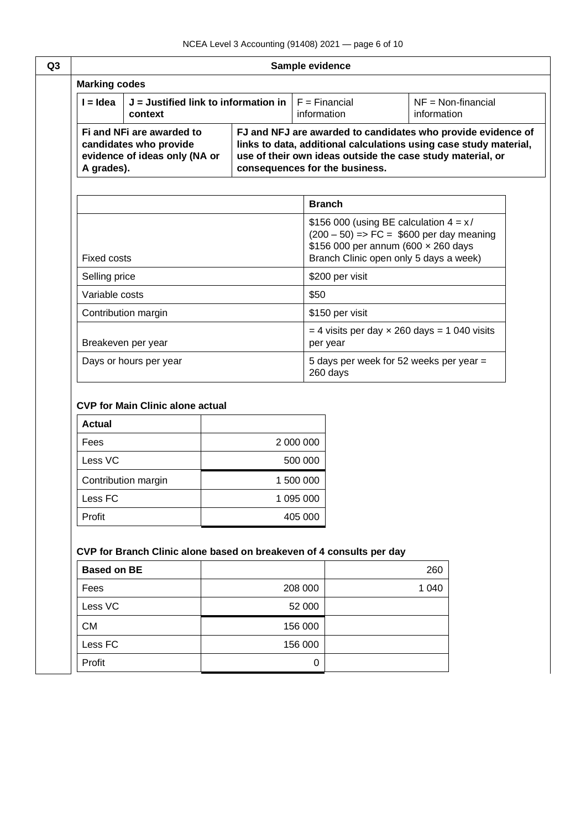| Sample evidence                                                 |                                                                                      |                                                                                                                          |               |                                     |                                                                                                                                                                                                 |  |
|-----------------------------------------------------------------|--------------------------------------------------------------------------------------|--------------------------------------------------------------------------------------------------------------------------|---------------|-------------------------------------|-------------------------------------------------------------------------------------------------------------------------------------------------------------------------------------------------|--|
| <b>Marking codes</b>                                            |                                                                                      |                                                                                                                          |               |                                     |                                                                                                                                                                                                 |  |
| $I = Idea$<br>$J =$ Justified link to information in<br>context |                                                                                      | $F = Financial$<br>information                                                                                           |               | $NF = Non-financial$<br>information |                                                                                                                                                                                                 |  |
| A grades).                                                      | Fi and NFi are awarded to<br>candidates who provide<br>evidence of ideas only (NA or | consequences for the business.                                                                                           |               |                                     | FJ and NFJ are awarded to candidates who provide evidence of<br>links to data, additional calculations using case study material,<br>use of their own ideas outside the case study material, or |  |
|                                                                 |                                                                                      |                                                                                                                          | <b>Branch</b> |                                     |                                                                                                                                                                                                 |  |
| <b>Fixed costs</b>                                              |                                                                                      |                                                                                                                          |               |                                     | \$156 000 (using BE calculation $4 = x/$<br>$(200 - 50)$ => FC = \$600 per day meaning<br>\$156 000 per annum (600 x 260 days<br>Branch Clinic open only 5 days a week)                         |  |
| Selling price                                                   |                                                                                      |                                                                                                                          |               | \$200 per visit                     |                                                                                                                                                                                                 |  |
| Variable costs                                                  |                                                                                      |                                                                                                                          | \$50          |                                     |                                                                                                                                                                                                 |  |
|                                                                 | Contribution margin                                                                  |                                                                                                                          |               | \$150 per visit                     |                                                                                                                                                                                                 |  |
|                                                                 | Breakeven per year                                                                   | $=$ 4 visits per day $\times$ 260 days = 1 040 visits<br>per year<br>5 days per week for 52 weeks per year =<br>260 days |               |                                     |                                                                                                                                                                                                 |  |
|                                                                 |                                                                                      |                                                                                                                          |               |                                     |                                                                                                                                                                                                 |  |
|                                                                 | Days or hours per year                                                               |                                                                                                                          |               |                                     |                                                                                                                                                                                                 |  |
| <b>Actual</b>                                                   | <b>CVP for Main Clinic alone actual</b>                                              |                                                                                                                          |               |                                     |                                                                                                                                                                                                 |  |
|                                                                 |                                                                                      |                                                                                                                          | 2 000 000     |                                     |                                                                                                                                                                                                 |  |
|                                                                 |                                                                                      |                                                                                                                          | 500 000       |                                     |                                                                                                                                                                                                 |  |
| Fees<br>Less VC                                                 | Contribution margin                                                                  |                                                                                                                          | 1 500 000     |                                     |                                                                                                                                                                                                 |  |
| Less FC                                                         |                                                                                      |                                                                                                                          | 1 095 000     |                                     |                                                                                                                                                                                                 |  |
| Profit                                                          |                                                                                      |                                                                                                                          | 405 000       |                                     |                                                                                                                                                                                                 |  |
|                                                                 | CVP for Branch Clinic alone based on breakeven of 4 consults per day                 |                                                                                                                          |               |                                     |                                                                                                                                                                                                 |  |
| <b>Based on BE</b>                                              |                                                                                      |                                                                                                                          |               |                                     | 260                                                                                                                                                                                             |  |
| Fees                                                            |                                                                                      |                                                                                                                          | 208 000       |                                     | 1 0 4 0                                                                                                                                                                                         |  |
| Less VC                                                         |                                                                                      |                                                                                                                          | 52 000        |                                     |                                                                                                                                                                                                 |  |
| CM                                                              |                                                                                      |                                                                                                                          | 156 000       |                                     |                                                                                                                                                                                                 |  |
| Less FC                                                         |                                                                                      |                                                                                                                          | 156 000       |                                     |                                                                                                                                                                                                 |  |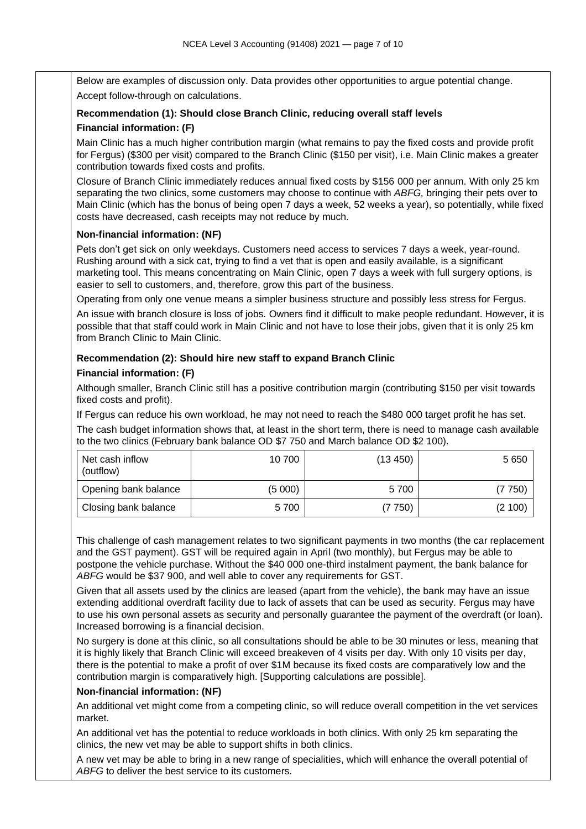Below are examples of discussion only. Data provides other opportunities to argue potential change. Accept follow-through on calculations.

### **Recommendation (1): Should close Branch Clinic, reducing overall staff levels Financial information: (F)**

Main Clinic has a much higher contribution margin (what remains to pay the fixed costs and provide profit for Fergus) (\$300 per visit) compared to the Branch Clinic (\$150 per visit), i.e. Main Clinic makes a greater contribution towards fixed costs and profits.

Closure of Branch Clinic immediately reduces annual fixed costs by \$156 000 per annum. With only 25 km separating the two clinics, some customers may choose to continue with *ABFG,* bringing their pets over to Main Clinic (which has the bonus of being open 7 days a week, 52 weeks a year), so potentially, while fixed costs have decreased, cash receipts may not reduce by much.

### **Non-financial information: (NF)**

Pets don't get sick on only weekdays. Customers need access to services 7 days a week, year-round. Rushing around with a sick cat, trying to find a vet that is open and easily available, is a significant marketing tool. This means concentrating on Main Clinic, open 7 days a week with full surgery options, is easier to sell to customers, and, therefore, grow this part of the business.

Operating from only one venue means a simpler business structure and possibly less stress for Fergus.

An issue with branch closure is loss of jobs. Owners find it difficult to make people redundant. However, it is possible that that staff could work in Main Clinic and not have to lose their jobs, given that it is only 25 km from Branch Clinic to Main Clinic.

### **Recommendation (2): Should hire new staff to expand Branch Clinic**

### **Financial information: (F)**

Although smaller, Branch Clinic still has a positive contribution margin (contributing \$150 per visit towards fixed costs and profit).

If Fergus can reduce his own workload, he may not need to reach the \$480 000 target profit he has set.

The cash budget information shows that, at least in the short term, there is need to manage cash available to the two clinics (February bank balance OD \$7 750 and March balance OD \$2 100).

| Net cash inflow<br>(outflow) | 10 700 | (13 450) | 5 6 5 0 |
|------------------------------|--------|----------|---------|
| Opening bank balance         | (5000) | 5700     | (7 750) |
| Closing bank balance         | 5700   | (7 750)  | (2 100) |

This challenge of cash management relates to two significant payments in two months (the car replacement and the GST payment). GST will be required again in April (two monthly), but Fergus may be able to postpone the vehicle purchase. Without the \$40 000 one-third instalment payment, the bank balance for *ABFG* would be \$37 900, and well able to cover any requirements for GST.

Given that all assets used by the clinics are leased (apart from the vehicle), the bank may have an issue extending additional overdraft facility due to lack of assets that can be used as security. Fergus may have to use his own personal assets as security and personally guarantee the payment of the overdraft (or loan). Increased borrowing is a financial decision.

No surgery is done at this clinic, so all consultations should be able to be 30 minutes or less, meaning that it is highly likely that Branch Clinic will exceed breakeven of 4 visits per day. With only 10 visits per day, there is the potential to make a profit of over \$1M because its fixed costs are comparatively low and the contribution margin is comparatively high. [Supporting calculations are possible].

### **Non-financial information: (NF)**

An additional vet might come from a competing clinic, so will reduce overall competition in the vet services market.

An additional vet has the potential to reduce workloads in both clinics. With only 25 km separating the clinics, the new vet may be able to support shifts in both clinics.

A new vet may be able to bring in a new range of specialities, which will enhance the overall potential of *ABFG* to deliver the best service to its customers.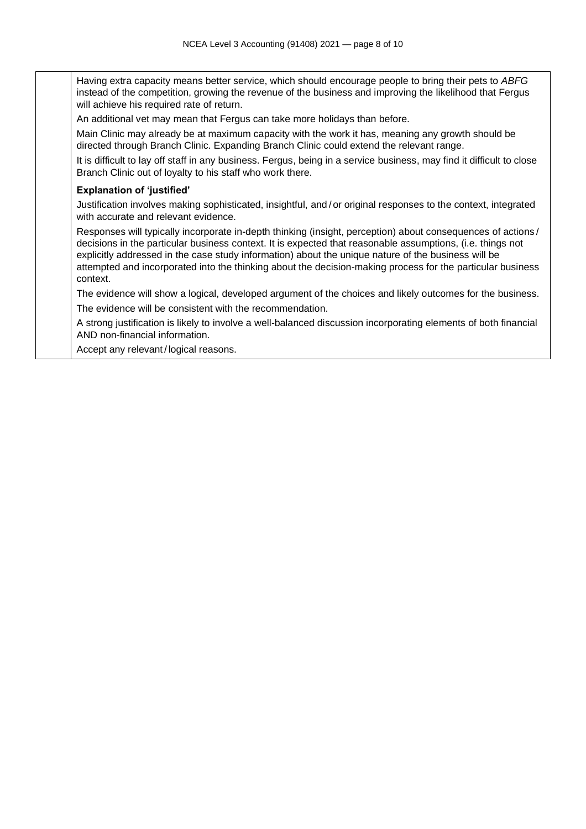Having extra capacity means better service, which should encourage people to bring their pets to *ABFG* instead of the competition, growing the revenue of the business and improving the likelihood that Fergus will achieve his required rate of return.

An additional vet may mean that Fergus can take more holidays than before.

Main Clinic may already be at maximum capacity with the work it has, meaning any growth should be directed through Branch Clinic. Expanding Branch Clinic could extend the relevant range.

It is difficult to lay off staff in any business. Fergus, being in a service business, may find it difficult to close Branch Clinic out of loyalty to his staff who work there.

### **Explanation of 'justified'**

Justification involves making sophisticated, insightful, and/or original responses to the context, integrated with accurate and relevant evidence.

Responses will typically incorporate in-depth thinking (insight, perception) about consequences of actions / decisions in the particular business context. It is expected that reasonable assumptions, (i.e. things not explicitly addressed in the case study information) about the unique nature of the business will be attempted and incorporated into the thinking about the decision-making process for the particular business context.

The evidence will show a logical, developed argument of the choices and likely outcomes for the business. The evidence will be consistent with the recommendation.

A strong justification is likely to involve a well-balanced discussion incorporating elements of both financial AND non-financial information.

Accept any relevant/logical reasons.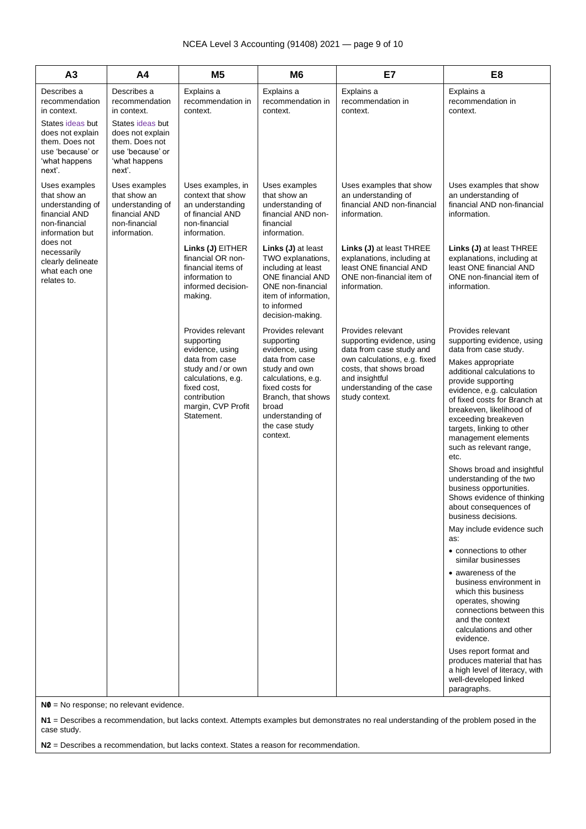| A3                                                                                                                                                    | A <sub>4</sub>                                                                                                                                        | M <sub>5</sub>                                                                                                                                                                    | M <sub>6</sub>                                                                                                                                                                                                  | E7                                                                                                                                                                                                      | E <sub>8</sub>                                                                                                                                                                                                                                                                                                                                                                                                                                                                                                                                                                                                                                                                                                                                                                                                                                                                                                                        |
|-------------------------------------------------------------------------------------------------------------------------------------------------------|-------------------------------------------------------------------------------------------------------------------------------------------------------|-----------------------------------------------------------------------------------------------------------------------------------------------------------------------------------|-----------------------------------------------------------------------------------------------------------------------------------------------------------------------------------------------------------------|---------------------------------------------------------------------------------------------------------------------------------------------------------------------------------------------------------|---------------------------------------------------------------------------------------------------------------------------------------------------------------------------------------------------------------------------------------------------------------------------------------------------------------------------------------------------------------------------------------------------------------------------------------------------------------------------------------------------------------------------------------------------------------------------------------------------------------------------------------------------------------------------------------------------------------------------------------------------------------------------------------------------------------------------------------------------------------------------------------------------------------------------------------|
| Describes a<br>recommendation<br>in context.<br>States ideas but<br>does not explain<br>them. Does not<br>use 'because' or<br>'what happens<br>next'. | Describes a<br>recommendation<br>in context.<br>States ideas but<br>does not explain<br>them. Does not<br>use 'because' or<br>'what happens<br>next'. | Explains a<br>recommendation in<br>context.                                                                                                                                       | Explains a<br>recommendation in<br>context.                                                                                                                                                                     | Explains a<br>recommendation in<br>context.                                                                                                                                                             | Explains a<br>recommendation in<br>context.                                                                                                                                                                                                                                                                                                                                                                                                                                                                                                                                                                                                                                                                                                                                                                                                                                                                                           |
| Uses examples<br>that show an<br>understanding of<br>financial AND<br>non-financial<br>information but                                                | Uses examples<br>that show an<br>understanding of<br>financial AND<br>non-financial<br>information.                                                   | Uses examples, in<br>context that show<br>an understanding<br>of financial AND<br>non-financial<br>information.                                                                   | Uses examples<br>that show an<br>understanding of<br>financial AND non-<br>financial<br>information.                                                                                                            | Uses examples that show<br>an understanding of<br>financial AND non-financial<br>information.                                                                                                           | Uses examples that show<br>an understanding of<br>financial AND non-financial<br>information.                                                                                                                                                                                                                                                                                                                                                                                                                                                                                                                                                                                                                                                                                                                                                                                                                                         |
| does not<br>necessarily<br>clearly delineate<br>what each one<br>relates to.                                                                          |                                                                                                                                                       | Links (J) EITHER<br>financial OR non-<br>financial items of<br>information to<br>informed decision-<br>making.                                                                    | Links (J) at least<br>TWO explanations,<br>including at least<br><b>ONE financial AND</b><br>ONE non-financial<br>item of information,<br>to informed<br>decision-making.                                       | Links (J) at least THREE<br>explanations, including at<br>least ONE financial AND<br>ONE non-financial item of<br>information.                                                                          | Links (J) at least THREE<br>explanations, including at<br>least ONE financial AND<br>ONE non-financial item of<br>information.                                                                                                                                                                                                                                                                                                                                                                                                                                                                                                                                                                                                                                                                                                                                                                                                        |
|                                                                                                                                                       |                                                                                                                                                       | Provides relevant<br>supporting<br>evidence, using<br>data from case<br>study and/or own<br>calculations, e.g.<br>fixed cost,<br>contribution<br>margin, CVP Profit<br>Statement. | Provides relevant<br>supporting<br>evidence, using<br>data from case<br>study and own<br>calculations, e.g.<br>fixed costs for<br>Branch, that shows<br>broad<br>understanding of<br>the case study<br>context. | Provides relevant<br>supporting evidence, using<br>data from case study and<br>own calculations, e.g. fixed<br>costs, that shows broad<br>and insightful<br>understanding of the case<br>study context. | Provides relevant<br>supporting evidence, using<br>data from case study.<br>Makes appropriate<br>additional calculations to<br>provide supporting<br>evidence, e.g. calculation<br>of fixed costs for Branch at<br>breakeven, likelihood of<br>exceeding breakeven<br>targets, linking to other<br>management elements<br>such as relevant range,<br>etc.<br>Shows broad and insightful<br>understanding of the two<br>business opportunities.<br>Shows evidence of thinking<br>about consequences of<br>business decisions.<br>May include evidence such<br>as:<br>• connections to other<br>similar businesses<br>• awareness of the<br>business environment in<br>which this business<br>operates, showing<br>connections between this<br>and the context<br>calculations and other<br>evidence.<br>Uses report format and<br>produces material that has<br>a high level of literacy, with<br>well-developed linked<br>paragraphs. |

**N0** = No response; no relevant evidence.

**N1** = Describes a recommendation, but lacks context. Attempts examples but demonstrates no real understanding of the problem posed in the case study.

**N2** = Describes a recommendation, but lacks context. States a reason for recommendation.